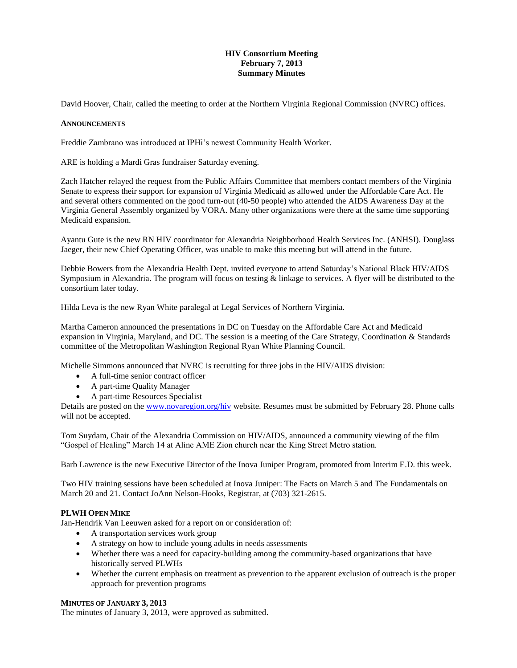# **HIV Consortium Meeting February 7, 2013 Summary Minutes**

David Hoover, Chair, called the meeting to order at the Northern Virginia Regional Commission (NVRC) offices.

#### **ANNOUNCEMENTS**

Freddie Zambrano was introduced at IPHi's newest Community Health Worker.

ARE is holding a Mardi Gras fundraiser Saturday evening.

Zach Hatcher relayed the request from the Public Affairs Committee that members contact members of the Virginia Senate to express their support for expansion of Virginia Medicaid as allowed under the Affordable Care Act. He and several others commented on the good turn-out (40-50 people) who attended the AIDS Awareness Day at the Virginia General Assembly organized by VORA. Many other organizations were there at the same time supporting Medicaid expansion.

Ayantu Gute is the new RN HIV coordinator for Alexandria Neighborhood Health Services Inc. (ANHSI). Douglass Jaeger, their new Chief Operating Officer, was unable to make this meeting but will attend in the future.

Debbie Bowers from the Alexandria Health Dept. invited everyone to attend Saturday's National Black HIV/AIDS Symposium in Alexandria. The program will focus on testing & linkage to services. A flyer will be distributed to the consortium later today.

Hilda Leva is the new Ryan White paralegal at Legal Services of Northern Virginia.

Martha Cameron announced the presentations in DC on Tuesday on the Affordable Care Act and Medicaid expansion in Virginia, Maryland, and DC. The session is a meeting of the Care Strategy, Coordination & Standards committee of the Metropolitan Washington Regional Ryan White Planning Council.

Michelle Simmons announced that NVRC is recruiting for three jobs in the HIV/AIDS division:

- A full-time senior contract officer
- A part-time Quality Manager
- A part-time Resources Specialist

Details are posted on the [www.novaregion.org/hiv](http://www.novaregion.org/hiv) website. Resumes must be submitted by February 28. Phone calls will not be accepted.

Tom Suydam, Chair of the Alexandria Commission on HIV/AIDS, announced a community viewing of the film "Gospel of Healing" March 14 at Aline AME Zion church near the King Street Metro station.

Barb Lawrence is the new Executive Director of the Inova Juniper Program, promoted from Interim E.D. this week.

Two HIV training sessions have been scheduled at Inova Juniper: The Facts on March 5 and The Fundamentals on March 20 and 21. Contact JoAnn Nelson-Hooks, Registrar, at (703) 321-2615.

# **PLWH OPEN MIKE**

Jan-Hendrik Van Leeuwen asked for a report on or consideration of:

- A transportation services work group
- A strategy on how to include young adults in needs assessments
- Whether there was a need for capacity-building among the community-based organizations that have historically served PLWHs
- Whether the current emphasis on treatment as prevention to the apparent exclusion of outreach is the proper approach for prevention programs

# **MINUTES OF JANUARY 3, 2013**

The minutes of January 3, 2013, were approved as submitted.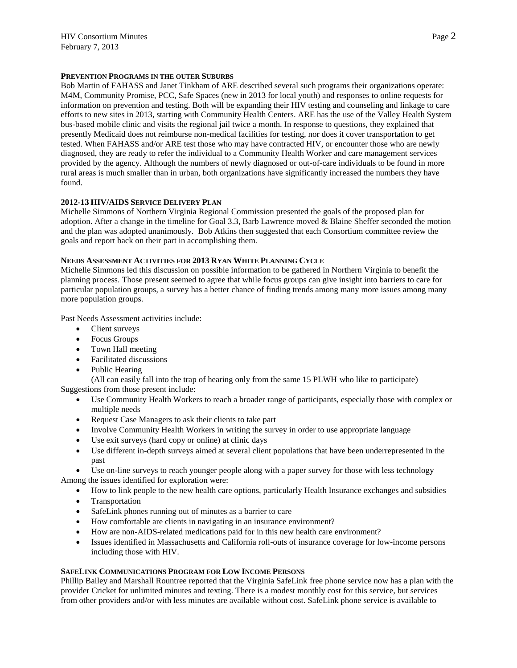# **PREVENTION PROGRAMS IN THE OUTER SUBURBS**

Bob Martin of FAHASS and Janet Tinkham of ARE described several such programs their organizations operate: M4M, Community Promise, PCC, Safe Spaces (new in 2013 for local youth) and responses to online requests for information on prevention and testing. Both will be expanding their HIV testing and counseling and linkage to care efforts to new sites in 2013, starting with Community Health Centers. ARE has the use of the Valley Health System bus-based mobile clinic and visits the regional jail twice a month. In response to questions, they explained that presently Medicaid does not reimburse non-medical facilities for testing, nor does it cover transportation to get tested. When FAHASS and/or ARE test those who may have contracted HIV, or encounter those who are newly diagnosed, they are ready to refer the individual to a Community Health Worker and care management services provided by the agency. Although the numbers of newly diagnosed or out-of-care individuals to be found in more rural areas is much smaller than in urban, both organizations have significantly increased the numbers they have found.

# **2012-13 HIV/AIDS SERVICE DELIVERY PLAN**

Michelle Simmons of Northern Virginia Regional Commission presented the goals of the proposed plan for adoption. After a change in the timeline for Goal 3.3, Barb Lawrence moved & Blaine Sheffer seconded the motion and the plan was adopted unanimously. Bob Atkins then suggested that each Consortium committee review the goals and report back on their part in accomplishing them.

# **NEEDS ASSESSMENT ACTIVITIES FOR 2013 RYAN WHITE PLANNING CYCLE**

Michelle Simmons led this discussion on possible information to be gathered in Northern Virginia to benefit the planning process. Those present seemed to agree that while focus groups can give insight into barriers to care for particular population groups, a survey has a better chance of finding trends among many more issues among many more population groups.

Past Needs Assessment activities include:

- Client surveys
- Focus Groups
- Town Hall meeting
- Facilitated discussions
- Public Hearing

(All can easily fall into the trap of hearing only from the same 15 PLWH who like to participate) Suggestions from those present include:

- Use Community Health Workers to reach a broader range of participants, especially those with complex or multiple needs
- Request Case Managers to ask their clients to take part
- Involve Community Health Workers in writing the survey in order to use appropriate language
- Use exit surveys (hard copy or online) at clinic days
- Use different in-depth surveys aimed at several client populations that have been underrepresented in the past

 Use on-line surveys to reach younger people along with a paper survey for those with less technology Among the issues identified for exploration were:

- How to link people to the new health care options, particularly Health Insurance exchanges and subsidies
- Transportation
- SafeLink phones running out of minutes as a barrier to care
- How comfortable are clients in navigating in an insurance environment?
- How are non-AIDS-related medications paid for in this new health care environment?
- Issues identified in Massachusetts and California roll-outs of insurance coverage for low-income persons including those with HIV.

# **SAFELINK COMMUNICATIONS PROGRAM FOR LOW INCOME PERSONS**

Phillip Bailey and Marshall Rountree reported that the Virginia SafeLink free phone service now has a plan with the provider Cricket for unlimited minutes and texting. There is a modest monthly cost for this service, but services from other providers and/or with less minutes are available without cost. SafeLink phone service is available to